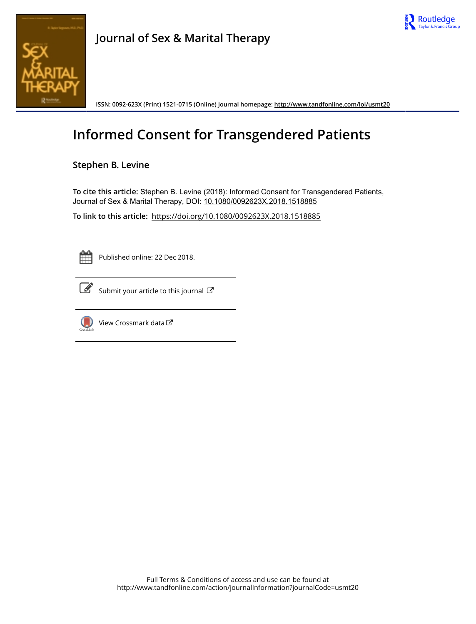



**Journal of Sex & Marital Therapy**

**ISSN: 0092-623X (Print) 1521-0715 (Online) Journal homepage: <http://www.tandfonline.com/loi/usmt20>**

# **Informed Consent for Transgendered Patients**

**Stephen B. Levine**

**To cite this article:** Stephen B. Levine (2018): Informed Consent for Transgendered Patients, Journal of Sex & Marital Therapy, DOI: [10.1080/0092623X.2018.1518885](http://www.tandfonline.com/action/showCitFormats?doi=10.1080/0092623X.2018.1518885)

**To link to this article:** <https://doi.org/10.1080/0092623X.2018.1518885>



Published online: 22 Dec 2018.



 $\overrightarrow{S}$  [Submit your article to this journal](http://www.tandfonline.com/action/authorSubmission?journalCode=usmt20&show=instructions)  $\overrightarrow{S}$ 



[View Crossmark data](http://crossmark.crossref.org/dialog/?doi=10.1080/0092623X.2018.1518885&domain=pdf&date_stamp=2018-12-22)  $\sigma$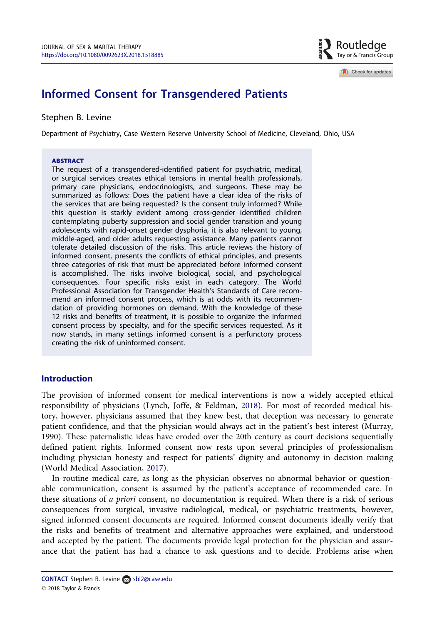

Check for updates

## <span id="page-1-0"></span>Informed Consent for Transgendered Patients

Stephen B. Levine

Department of Psychiatry, Case Western Reserve University School of Medicine, Cleveland, Ohio, USA

#### ABSTRACT

The request of a transgendered-identified patient for psychiatric, medical, or surgical services creates ethical tensions in mental health professionals, primary care physicians, endocrinologists, and surgeons. These may be summarized as follows: Does the patient have a clear idea of the risks of the services that are being requested? Is the consent truly informed? While this question is starkly evident among cross-gender identified children contemplating puberty suppression and social gender transition and young adolescents with rapid-onset gender dysphoria, it is also relevant to young, middle-aged, and older adults requesting assistance. Many patients cannot tolerate detailed discussion of the risks. This article reviews the history of informed consent, presents the conflicts of ethical principles, and presents three categories of risk that must be appreciated before informed consent is accomplished. The risks involve biological, social, and psychological consequences. Four specific risks exist in each category. The World Professional Association for Transgender Health's Standards of Care recommend an informed consent process, which is at odds with its recommendation of providing hormones on demand. With the knowledge of these 12 risks and benefits of treatment, it is possible to organize the informed consent process by specialty, and for the specific services requested. As it now stands, in many settings informed consent is a perfunctory process creating the risk of uninformed consent.

## Introduction

The provision of informed consent for medical interventions is now a widely accepted ethical responsibility of physicians (Lynch, Joffe, & Feldman, [2018](#page-11-0)). For most of recorded medical history, however, physicians assumed that they knew best, that deception was necessary to generate patient confidence, and that the physician would always act in the patient's best interest (Murray, 1990). These paternalistic ideas have eroded over the 20th century as court decisions sequentially defined patient rights. Informed consent now rests upon several principles of professionalism including physician honesty and respect for patients' dignity and autonomy in decision making (World Medical Association, [2017](#page-12-0)).

In routine medical care, as long as the physician observes no abnormal behavior or questionable communication, consent is assumed by the patient's acceptance of recommended care. In these situations of a priori consent, no documentation is required. When there is a risk of serious consequences from surgical, invasive radiological, medical, or psychiatric treatments, however, signed informed consent documents are required. Informed consent documents ideally verify that the risks and benefits of treatment and alternative approaches were explained, and understood and accepted by the patient. The documents provide legal protection for the physician and assurance that the patient has had a chance to ask questions and to decide. Problems arise when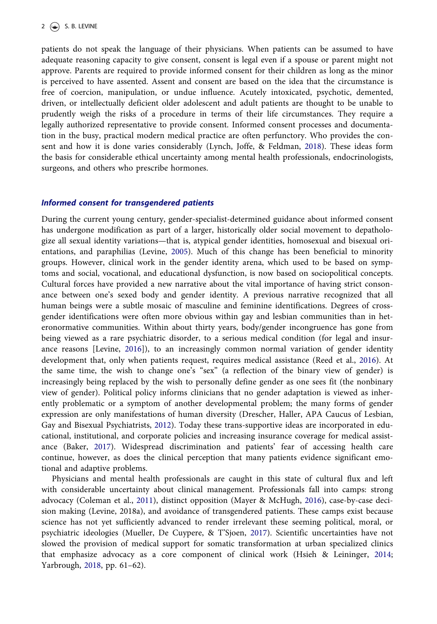<span id="page-2-0"></span>patients do not speak the language of their physicians. When patients can be assumed to have adequate reasoning capacity to give consent, consent is legal even if a spouse or parent might not approve. Parents are required to provide informed consent for their children as long as the minor is perceived to have assented. Assent and consent are based on the idea that the circumstance is free of coercion, manipulation, or undue influence. Acutely intoxicated, psychotic, demented, driven, or intellectually deficient older adolescent and adult patients are thought to be unable to prudently weigh the risks of a procedure in terms of their life circumstances. They require a legally authorized representative to provide consent. Informed consent processes and documentation in the busy, practical modern medical practice are often perfunctory. Who provides the consent and how it is done varies considerably (Lynch, Joffe, & Feldman, [2018\)](#page-11-0). These ideas form the basis for considerable ethical uncertainty among mental health professionals, endocrinologists, surgeons, and others who prescribe hormones.

## Informed consent for transgendered patients

During the current young century, gender-specialist-determined guidance about informed consent has undergone modification as part of a larger, historically older social movement to depathologize all sexual identity variations—that is, atypical gender identities, homosexual and bisexual orientations, and paraphilias (Levine, [2005\)](#page-11-0). Much of this change has been beneficial to minority groups. However, clinical work in the gender identity arena, which used to be based on symptoms and social, vocational, and educational dysfunction, is now based on sociopolitical concepts. Cultural forces have provided a new narrative about the vital importance of having strict consonance between one's sexed body and gender identity. A previous narrative recognized that all human beings were a subtle mosaic of masculine and feminine identifications. Degrees of crossgender identifications were often more obvious within gay and lesbian communities than in heteronormative communities. Within about thirty years, body/gender incongruence has gone from being viewed as a rare psychiatric disorder, to a serious medical condition (for legal and insurance reasons [Levine, [2016](#page-11-0)]), to an increasingly common normal variation of gender identity development that, only when patients request, requires medical assistance (Reed et al., [2016\)](#page-11-0). At the same time, the wish to change one's "sex" (a reflection of the binary view of gender) is increasingly being replaced by the wish to personally define gender as one sees fit (the nonbinary view of gender). Political policy informs clinicians that no gender adaptation is viewed as inherently problematic or a symptom of another developmental problem; the many forms of gender expression are only manifestations of human diversity (Drescher, Haller, APA Caucus of Lesbian, Gay and Bisexual Psychiatrists, [2012](#page-11-0)). Today these trans-supportive ideas are incorporated in educational, institutional, and corporate policies and increasing insurance coverage for medical assistance (Baker, [2017\)](#page-10-0). Widespread discrimination and patients' fear of accessing health care continue, however, as does the clinical perception that many patients evidence significant emotional and adaptive problems.

Physicians and mental health professionals are caught in this state of cultural flux and left with considerable uncertainty about clinical management. Professionals fall into camps: strong advocacy (Coleman et al., [2011\)](#page-10-0), distinct opposition (Mayer & McHugh, [2016\)](#page-11-0), case-by-case decision making (Levine, 2018a), and avoidance of transgendered patients. These camps exist because science has not yet sufficiently advanced to render irrelevant these seeming political, moral, or psychiatric ideologies (Mueller, De Cuypere, & T'Sjoen, [2017\)](#page-11-0). Scientific uncertainties have not slowed the provision of medical support for somatic transformation at urban specialized clinics that emphasize advocacy as a core component of clinical work (Hsieh & Leininger, [2014;](#page-11-0) Yarbrough, [2018](#page-12-0), pp. 61–62).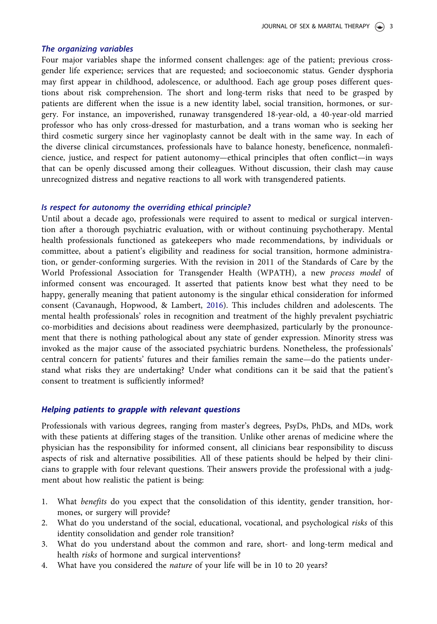#### <span id="page-3-0"></span>The organizing variables

Four major variables shape the informed consent challenges: age of the patient; previous crossgender life experience; services that are requested; and socioeconomic status. Gender dysphoria may first appear in childhood, adolescence, or adulthood. Each age group poses different questions about risk comprehension. The short and long-term risks that need to be grasped by patients are different when the issue is a new identity label, social transition, hormones, or surgery. For instance, an impoverished, runaway transgendered 18-year-old, a 40-year-old married professor who has only cross-dressed for masturbation, and a trans woman who is seeking her third cosmetic surgery since her vaginoplasty cannot be dealt with in the same way. In each of the diverse clinical circumstances, professionals have to balance honesty, beneficence, nonmaleficience, justice, and respect for patient autonomy—ethical principles that often conflict—in ways that can be openly discussed among their colleagues. Without discussion, their clash may cause unrecognized distress and negative reactions to all work with transgendered patients.

#### Is respect for autonomy the overriding ethical principle?

Until about a decade ago, professionals were required to assent to medical or surgical intervention after a thorough psychiatric evaluation, with or without continuing psychotherapy. Mental health professionals functioned as gatekeepers who made recommendations, by individuals or committee, about a patient's eligibility and readiness for social transition, hormone administration, or gender-conforming surgeries. With the revision in 2011 of the Standards of Care by the World Professional Association for Transgender Health (WPATH), a new process model of informed consent was encouraged. It asserted that patients know best what they need to be happy, generally meaning that patient autonomy is the singular ethical consideration for informed consent (Cavanaugh, Hopwood, & Lambert, [2016](#page-10-0)). This includes children and adolescents. The mental health professionals' roles in recognition and treatment of the highly prevalent psychiatric co-morbidities and decisions about readiness were deemphasized, particularly by the pronouncement that there is nothing pathological about any state of gender expression. Minority stress was invoked as the major cause of the associated psychiatric burdens. Nonetheless, the professionals' central concern for patients' futures and their families remain the same—do the patients understand what risks they are undertaking? Under what conditions can it be said that the patient's consent to treatment is sufficiently informed?

#### Helping patients to grapple with relevant questions

Professionals with various degrees, ranging from master's degrees, PsyDs, PhDs, and MDs, work with these patients at differing stages of the transition. Unlike other arenas of medicine where the physician has the responsibility for informed consent, all clinicians bear responsibility to discuss aspects of risk and alternative possibilities. All of these patients should be helped by their clinicians to grapple with four relevant questions. Their answers provide the professional with a judgment about how realistic the patient is being:

- 1. What benefits do you expect that the consolidation of this identity, gender transition, hormones, or surgery will provide?
- 2. What do you understand of the social, educational, vocational, and psychological risks of this identity consolidation and gender role transition?
- 3. What do you understand about the common and rare, short- and long-term medical and health risks of hormone and surgical interventions?
- 4. What have you considered the nature of your life will be in 10 to 20 years?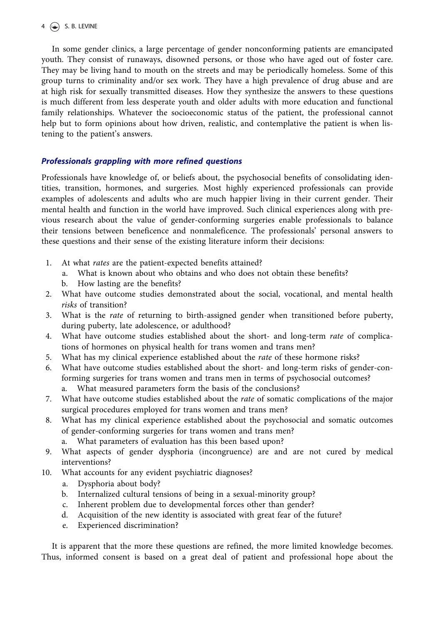## 4  $\left(\frac{1}{2}\right)$  S. B. LEVINE

In some gender clinics, a large percentage of gender nonconforming patients are emancipated youth. They consist of runaways, disowned persons, or those who have aged out of foster care. They may be living hand to mouth on the streets and may be periodically homeless. Some of this group turns to criminality and/or sex work. They have a high prevalence of drug abuse and are at high risk for sexually transmitted diseases. How they synthesize the answers to these questions is much different from less desperate youth and older adults with more education and functional family relationships. Whatever the socioeconomic status of the patient, the professional cannot help but to form opinions about how driven, realistic, and contemplative the patient is when listening to the patient's answers.

## Professionals grappling with more refined questions

Professionals have knowledge of, or beliefs about, the psychosocial benefits of consolidating identities, transition, hormones, and surgeries. Most highly experienced professionals can provide examples of adolescents and adults who are much happier living in their current gender. Their mental health and function in the world have improved. Such clinical experiences along with previous research about the value of gender-conforming surgeries enable professionals to balance their tensions between beneficence and nonmaleficence. The professionals' personal answers to these questions and their sense of the existing literature inform their decisions:

- 1. At what rates are the patient-expected benefits attained?
	- a. What is known about who obtains and who does not obtain these benefits?
	- b. How lasting are the benefits?
- 2. What have outcome studies demonstrated about the social, vocational, and mental health risks of transition?
- 3. What is the rate of returning to birth-assigned gender when transitioned before puberty, during puberty, late adolescence, or adulthood?
- 4. What have outcome studies established about the short- and long-term rate of complications of hormones on physical health for trans women and trans men?
- 5. What has my clinical experience established about the rate of these hormone risks?
- 6. What have outcome studies established about the short- and long-term risks of gender-conforming surgeries for trans women and trans men in terms of psychosocial outcomes? a. What measured parameters form the basis of the conclusions?
- 7. What have outcome studies established about the rate of somatic complications of the major surgical procedures employed for trans women and trans men?
- 8. What has my clinical experience established about the psychosocial and somatic outcomes of gender-conforming surgeries for trans women and trans men?
	- a. What parameters of evaluation has this been based upon?
- 9. What aspects of gender dysphoria (incongruence) are and are not cured by medical interventions?
- 10. What accounts for any evident psychiatric diagnoses?
	- a. Dysphoria about body?
	- b. Internalized cultural tensions of being in a sexual-minority group?
	- c. Inherent problem due to developmental forces other than gender?
	- d. Acquisition of the new identity is associated with great fear of the future?
	- e. Experienced discrimination?

It is apparent that the more these questions are refined, the more limited knowledge becomes. Thus, informed consent is based on a great deal of patient and professional hope about the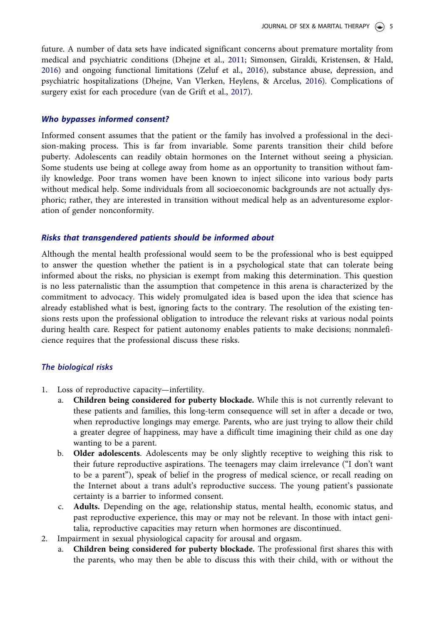<span id="page-5-0"></span>future. A number of data sets have indicated significant concerns about premature mortality from medical and psychiatric conditions (Dhejne et al., [2011](#page-11-0); Simonsen, Giraldi, Kristensen, & Hald, [2016](#page-11-0)) and ongoing functional limitations (Zeluf et al., [2016\)](#page-12-0), substance abuse, depression, and psychiatric hospitalizations (Dhejne, Van Vlerken, Heylens, & Arcelus, [2016](#page-11-0)). Complications of surgery exist for each procedure (van de Grift et al., [2017\)](#page-11-0).

## Who bypasses informed consent?

Informed consent assumes that the patient or the family has involved a professional in the decision-making process. This is far from invariable. Some parents transition their child before puberty. Adolescents can readily obtain hormones on the Internet without seeing a physician. Some students use being at college away from home as an opportunity to transition without family knowledge. Poor trans women have been known to inject silicone into various body parts without medical help. Some individuals from all socioeconomic backgrounds are not actually dysphoric; rather, they are interested in transition without medical help as an adventuresome exploration of gender nonconformity.

#### Risks that transgendered patients should be informed about

Although the mental health professional would seem to be the professional who is best equipped to answer the question whether the patient is in a psychological state that can tolerate being informed about the risks, no physician is exempt from making this determination. This question is no less paternalistic than the assumption that competence in this arena is characterized by the commitment to advocacy. This widely promulgated idea is based upon the idea that science has already established what is best, ignoring facts to the contrary. The resolution of the existing tensions rests upon the professional obligation to introduce the relevant risks at various nodal points during health care. Respect for patient autonomy enables patients to make decisions; nonmaleficience requires that the professional discuss these risks.

## The biological risks

- 1. Loss of reproductive capacity—infertility.
	- a. Children being considered for puberty blockade. While this is not currently relevant to these patients and families, this long-term consequence will set in after a decade or two, when reproductive longings may emerge. Parents, who are just trying to allow their child a greater degree of happiness, may have a difficult time imagining their child as one day wanting to be a parent.
	- b. Older adolescents. Adolescents may be only slightly receptive to weighing this risk to their future reproductive aspirations. The teenagers may claim irrelevance ("I don't want to be a parent"), speak of belief in the progress of medical science, or recall reading on the Internet about a trans adult's reproductive success. The young patient's passionate certainty is a barrier to informed consent.
	- c. Adults. Depending on the age, relationship status, mental health, economic status, and past reproductive experience, this may or may not be relevant. In those with intact genitalia, reproductive capacities may return when hormones are discontinued.
- 2. Impairment in sexual physiological capacity for arousal and orgasm.
	- a. Children being considered for puberty blockade. The professional first shares this with the parents, who may then be able to discuss this with their child, with or without the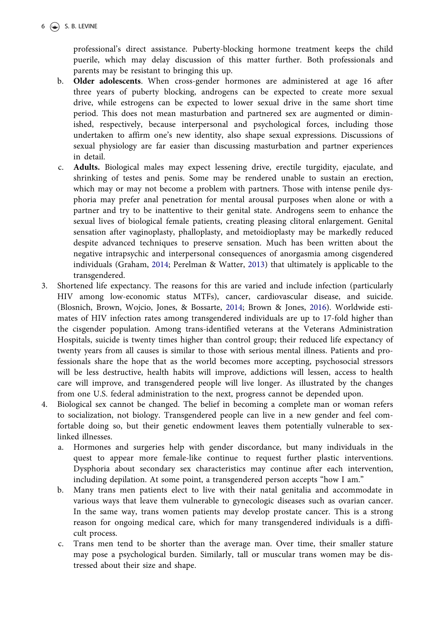<span id="page-6-0"></span>professional's direct assistance. Puberty-blocking hormone treatment keeps the child puerile, which may delay discussion of this matter further. Both professionals and parents may be resistant to bringing this up.

- b. Older adolescents. When cross-gender hormones are administered at age 16 after three years of puberty blocking, androgens can be expected to create more sexual drive, while estrogens can be expected to lower sexual drive in the same short time period. This does not mean masturbation and partnered sex are augmented or diminished, respectively, because interpersonal and psychological forces, including those undertaken to affirm one's new identity, also shape sexual expressions. Discussions of sexual physiology are far easier than discussing masturbation and partner experiences in detail.
- c. Adults. Biological males may expect lessening drive, erectile turgidity, ejaculate, and shrinking of testes and penis. Some may be rendered unable to sustain an erection, which may or may not become a problem with partners. Those with intense penile dysphoria may prefer anal penetration for mental arousal purposes when alone or with a partner and try to be inattentive to their genital state. Androgens seem to enhance the sexual lives of biological female patients, creating pleasing clitoral enlargement. Genital sensation after vaginoplasty, phalloplasty, and metoidioplasty may be markedly reduced despite advanced techniques to preserve sensation. Much has been written about the negative intrapsychic and interpersonal consequences of anorgasmia among cisgendered individuals (Graham, [2014](#page-11-0); Perelman & Watter, [2013](#page-11-0)) that ultimately is applicable to the transgendered.
- 3. Shortened life expectancy. The reasons for this are varied and include infection (particularly HIV among low-economic status MTFs), cancer, cardiovascular disease, and suicide. (Blosnich, Brown, Wojcio, Jones, & Bossarte, [2014;](#page-10-0) Brown & Jones, [2016](#page-10-0)). Worldwide estimates of HIV infection rates among transgendered individuals are up to 17-fold higher than the cisgender population. Among trans-identified veterans at the Veterans Administration Hospitals, suicide is twenty times higher than control group; their reduced life expectancy of twenty years from all causes is similar to those with serious mental illness. Patients and professionals share the hope that as the world becomes more accepting, psychosocial stressors will be less destructive, health habits will improve, addictions will lessen, access to health care will improve, and transgendered people will live longer. As illustrated by the changes from one U.S. federal administration to the next, progress cannot be depended upon.
- 4. Biological sex cannot be changed. The belief in becoming a complete man or woman refers to socialization, not biology. Transgendered people can live in a new gender and feel comfortable doing so, but their genetic endowment leaves them potentially vulnerable to sexlinked illnesses.
	- a. Hormones and surgeries help with gender discordance, but many individuals in the quest to appear more female-like continue to request further plastic interventions. Dysphoria about secondary sex characteristics may continue after each intervention, including depilation. At some point, a transgendered person accepts "how I am."
	- b. Many trans men patients elect to live with their natal genitalia and accommodate in various ways that leave them vulnerable to gynecologic diseases such as ovarian cancer. In the same way, trans women patients may develop prostate cancer. This is a strong reason for ongoing medical care, which for many transgendered individuals is a difficult process.
	- c. Trans men tend to be shorter than the average man. Over time, their smaller stature may pose a psychological burden. Similarly, tall or muscular trans women may be distressed about their size and shape.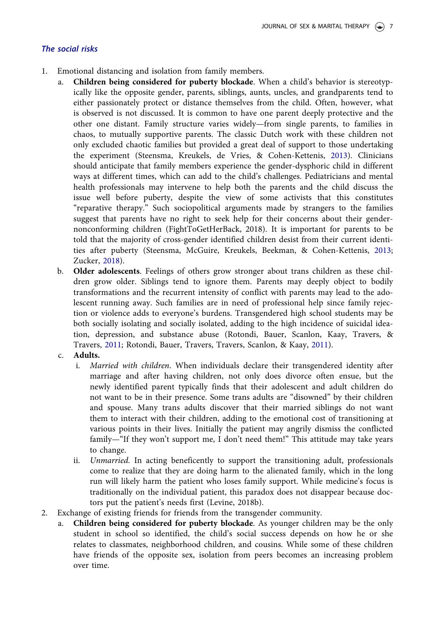## <span id="page-7-0"></span>The social risks

- 1. Emotional distancing and isolation from family members.
	- a. Children being considered for puberty blockade. When a child's behavior is stereotypically like the opposite gender, parents, siblings, aunts, uncles, and grandparents tend to either passionately protect or distance themselves from the child. Often, however, what is observed is not discussed. It is common to have one parent deeply protective and the other one distant. Family structure varies widely—from single parents, to families in chaos, to mutually supportive parents. The classic Dutch work with these children not only excluded chaotic families but provided a great deal of support to those undertaking the experiment (Steensma, Kreukels, de Vries, & Cohen-Kettenis, [2013\)](#page-11-0). Clinicians should anticipate that family members experience the gender-dysphoric child in different ways at different times, which can add to the child's challenges. Pediatricians and mental health professionals may intervene to help both the parents and the child discuss the issue well before puberty, despite the view of some activists that this constitutes "reparative therapy." Such sociopolitical arguments made by strangers to the families suggest that parents have no right to seek help for their concerns about their gendernonconforming children (FightToGetHerBack, 2018). It is important for parents to be told that the majority of cross-gender identified children desist from their current identities after puberty (Steensma, McGuire, Kreukels, Beekman, & Cohen-Kettenis, [2013;](#page-11-0) Zucker, [2018\)](#page-12-0).
	- b. Older adolescents. Feelings of others grow stronger about trans children as these children grow older. Siblings tend to ignore them. Parents may deeply object to bodily transformations and the recurrent intensity of conflict with parents may lead to the adolescent running away. Such families are in need of professional help since family rejection or violence adds to everyone's burdens. Transgendered high school students may be both socially isolating and socially isolated, adding to the high incidence of suicidal ideation, depression, and substance abuse (Rotondi, Bauer, Scanlon, Kaay, Travers, & Travers, [2011](#page-11-0); Rotondi, Bauer, Travers, Travers, Scanlon, & Kaay, [2011\)](#page-11-0).
	- c. Adults.
		- i. Married with children. When individuals declare their transgendered identity after marriage and after having children, not only does divorce often ensue, but the newly identified parent typically finds that their adolescent and adult children do not want to be in their presence. Some trans adults are "disowned" by their children and spouse. Many trans adults discover that their married siblings do not want them to interact with their children, adding to the emotional cost of transitioning at various points in their lives. Initially the patient may angrily dismiss the conflicted family—"If they won't support me, I don't need them!" This attitude may take years to change.
		- ii. Unmarried. In acting beneficently to support the transitioning adult, professionals come to realize that they are doing harm to the alienated family, which in the long run will likely harm the patient who loses family support. While medicine's focus is traditionally on the individual patient, this paradox does not disappear because doctors put the patient's needs first (Levine, 2018b).
- 2. Exchange of existing friends for friends from the transgender community.
	- a. Children being considered for puberty blockade. As younger children may be the only student in school so identified, the child's social success depends on how he or she relates to classmates, neighborhood children, and cousins. While some of these children have friends of the opposite sex, isolation from peers becomes an increasing problem over time.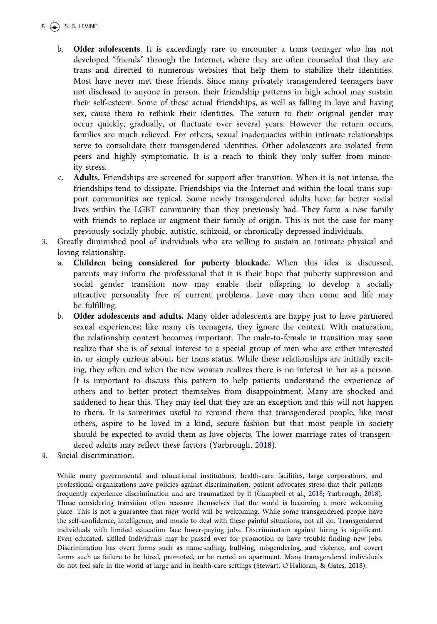## <span id="page-8-0"></span> $8 \quad (*)$  S. B. LEVINE

- b. Older adolescents. It is exceedingly rare to encounter a trans teenager who has not developed "friends" through the Internet, where they are often counseled that they are trans and directed to numerous websites that help them to stabilize their identities. Most have never met these friends. Since many privately transgendered teenagers have not disclosed to anyone in person, their friendship patterns in high school may sustain their self-esteem. Some of these actual friendships, as well as falling in love and having sex, cause them to rethink their identities. The return to their original gender may occur quickly, gradually, or fluctuate over several years. However the return occurs, families are much relieved. For others, sexual inadequacies within intimate relationships serve to consolidate their transgendered identities. Other adolescents are isolated from peers and highly symptomatic. It is a reach to think they only suffer from minority stress.
- c. Adults. Friendships are screened for support after transition. When it is not intense, the friendships tend to dissipate. Friendships via the Internet and within the local trans support communities are typical. Some newly transgendered adults have far better social lives within the LGBT community than they previously had. They form a new family with friends to replace or augment their family of origin. This is not the case for many previously socially phobic, autistic, schizoid, or chronically depressed individuals.
- 3. Greatly diminished pool of individuals who are willing to sustain an intimate physical and loving relationship.
	- a. Children being considered for puberty blockade. When this idea is discussed, parents may inform the professional that it is their hope that puberty suppression and social gender transition now may enable their offspring to develop a socially attractive personality free of current problems. Love may then come and life may be fulfilling.
	- b. Older adolescents and adults. Many older adolescents are happy just to have partnered sexual experiences; like many cis teenagers, they ignore the context. With maturation, the relationship context becomes important. The male-to-female in transition may soon realize that she is of sexual interest to a special group of men who are either interested in, or simply curious about, her trans status. While these relationships are initially exciting, they often end when the new woman realizes there is no interest in her as a person. It is important to discuss this pattern to help patients understand the experience of others and to better protect themselves from disappointment. Many are shocked and saddened to hear this. They may feel that they are an exception and this will not happen to them. It is sometimes useful to remind them that transgendered people, like most others, aspire to be loved in a kind, secure fashion but that most people in society should be expected to avoid them as love objects. The lower marriage rates of transgendered adults may reflect these factors (Yarbrough, [2018](#page-12-0)).
- 4. Social discrimination.

While many governmental and educational institutions, health-care facilities, large corporations, and professional organizations have policies against discrimination, patient advocates stress that their patients frequently experience discrimination and are traumatized by it (Campbell et al., [2018](#page-10-0); Yarbrough, [2018](#page-12-0)). Those considering transition often reassure themselves that the world is becoming a more welcoming place. This is not a guarantee that their world will be welcoming. While some transgendered people have the self-confidence, intelligence, and moxie to deal with these painful situations, not all do. Transgendered individuals with limited education face lower-paying jobs. Discrimination against hiring is significant. Even educated, skilled individuals may be passed over for promotion or have trouble finding new jobs. Discrimination has overt forms such as name-calling, bullying, misgendering, and violence, and covert forms such as failure to be hired, promoted, or be rented an apartment. Many transgendered individuals do not feel safe in the world at large and in health-care settings (Stewart, O'Halloran, & Gates, 2018).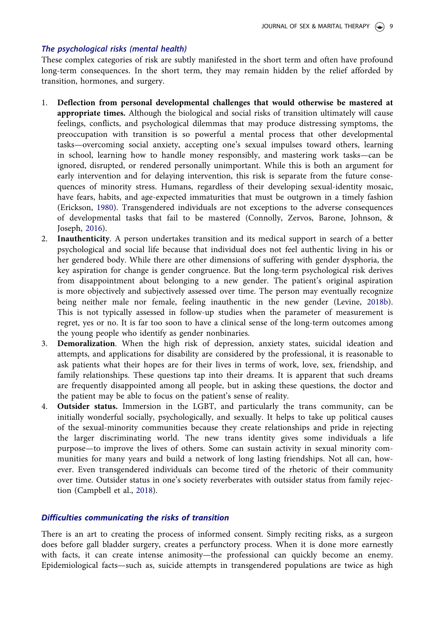## <span id="page-9-0"></span>The psychological risks (mental health)

These complex categories of risk are subtly manifested in the short term and often have profound long-term consequences. In the short term, they may remain hidden by the relief afforded by transition, hormones, and surgery.

- 1. Deflection from personal developmental challenges that would otherwise be mastered at appropriate times. Although the biological and social risks of transition ultimately will cause feelings, conflicts, and psychological dilemmas that may produce distressing symptoms, the preoccupation with transition is so powerful a mental process that other developmental tasks—overcoming social anxiety, accepting one's sexual impulses toward others, learning in school, learning how to handle money responsibly, and mastering work tasks—can be ignored, disrupted, or rendered personally unimportant. While this is both an argument for early intervention and for delaying intervention, this risk is separate from the future consequences of minority stress. Humans, regardless of their developing sexual-identity mosaic, have fears, habits, and age-expected immaturities that must be outgrown in a timely fashion (Erickson, [1980\)](#page-11-0). Transgendered individuals are not exceptions to the adverse consequences of developmental tasks that fail to be mastered (Connolly, Zervos, Barone, Johnson, & Joseph, [2016\)](#page-11-0).
- 2. Inauthenticity. A person undertakes transition and its medical support in search of a better psychological and social life because that individual does not feel authentic living in his or her gendered body. While there are other dimensions of suffering with gender dysphoria, the key aspiration for change is gender congruence. But the long-term psychological risk derives from disappointment about belonging to a new gender. The patient's original aspiration is more objectively and subjectively assessed over time. The person may eventually recognize being neither male nor female, feeling inauthentic in the new gender (Levine, [2018b\)](#page-11-0). This is not typically assessed in follow-up studies when the parameter of measurement is regret, yes or no. It is far too soon to have a clinical sense of the long-term outcomes among the young people who identify as gender nonbinaries.
- 3. Demoralization. When the high risk of depression, anxiety states, suicidal ideation and attempts, and applications for disability are considered by the professional, it is reasonable to ask patients what their hopes are for their lives in terms of work, love, sex, friendship, and family relationships. These questions tap into their dreams. It is apparent that such dreams are frequently disappointed among all people, but in asking these questions, the doctor and the patient may be able to focus on the patient's sense of reality.
- 4. Outsider status. Immersion in the LGBT, and particularly the trans community, can be initially wonderful socially, psychologically, and sexually. It helps to take up political causes of the sexual-minority communities because they create relationships and pride in rejecting the larger discriminating world. The new trans identity gives some individuals a life purpose—to improve the lives of others. Some can sustain activity in sexual minority communities for many years and build a network of long lasting friendships. Not all can, however. Even transgendered individuals can become tired of the rhetoric of their community over time. Outsider status in one's society reverberates with outsider status from family rejection (Campbell et al., [2018](#page-10-0)).

## Difficulties communicating the risks of transition

There is an art to creating the process of informed consent. Simply reciting risks, as a surgeon does before gall bladder surgery, creates a perfunctory process. When it is done more earnestly with facts, it can create intense animosity—the professional can quickly become an enemy. Epidemiological facts—such as, suicide attempts in transgendered populations are twice as high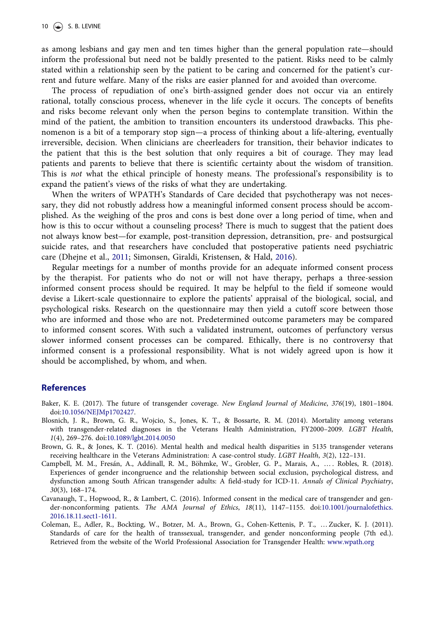<span id="page-10-0"></span>as among lesbians and gay men and ten times higher than the general population rate—should inform the professional but need not be baldly presented to the patient. Risks need to be calmly stated within a relationship seen by the patient to be caring and concerned for the patient's current and future welfare. Many of the risks are easier planned for and avoided than overcome.

The process of repudiation of one's birth-assigned gender does not occur via an entirely rational, totally conscious process, whenever in the life cycle it occurs. The concepts of benefits and risks become relevant only when the person begins to contemplate transition. Within the mind of the patient, the ambition to transition encounters its understood drawbacks. This phenomenon is a bit of a temporary stop sign—a process of thinking about a life-altering, eventually irreversible, decision. When clinicians are cheerleaders for transition, their behavior indicates to the patient that this is the best solution that only requires a bit of courage. They may lead patients and parents to believe that there is scientific certainty about the wisdom of transition. This is not what the ethical principle of honesty means. The professional's responsibility is to expand the patient's views of the risks of what they are undertaking.

When the writers of WPATH's Standards of Care decided that psychotherapy was not necessary, they did not robustly address how a meaningful informed consent process should be accomplished. As the weighing of the pros and cons is best done over a long period of time, when and how is this to occur without a counseling process? There is much to suggest that the patient does not always know best—for example, post-transition depression, detransition, pre- and postsurgical suicide rates, and that researchers have concluded that postoperative patients need psychiatric care (Dhejne et al., [2011](#page-11-0); Simonsen, Giraldi, Kristensen, & Hald, [2016\)](#page-11-0).

Regular meetings for a number of months provide for an adequate informed consent process by the therapist. For patients who do not or will not have therapy, perhaps a three-session informed consent process should be required. It may be helpful to the field if someone would devise a Likert-scale questionnaire to explore the patients' appraisal of the biological, social, and psychological risks. Research on the questionnaire may then yield a cutoff score between those who are informed and those who are not. Predetermined outcome parameters may be compared to informed consent scores. With such a validated instrument, outcomes of perfunctory versus slower informed consent processes can be compared. Ethically, there is no controversy that informed consent is a professional responsibility. What is not widely agreed upon is how it should be accomplished, by whom, and when.

#### **References**

- Baker, K. E. [\(2017\)](#page-2-0). The future of transgender coverage. New England Journal of Medicine, 376(19), 1801–1804. doi:[10.1056/NEJMp1702427.](https://doi.org/10.1056/NEJMp1702427)
- Blosnich, J. R., Brown, G. R., Wojcio, S., Jones, K. T., & Bossarte, R. M. ([2014](#page-6-0)). Mortality among veterans with transgender-related diagnoses in the Veterans Health Administration, FY2000–2009. LGBT Health, 1(4), 269–276. doi[:10.1089/lgbt.2014.0050](https://doi.org/10.1089/lgbt.2014.0050)
- Brown, G. R., & Jones, K. T. ([2016\)](#page-6-0). Mental health and medical health disparities in 5135 transgender veterans receiving healthcare in the Veterans Administration: A case-control study. LGBT Health, 3(2), 122–131.
- Campbell, M. M., Fresán, A., Addinall, R. M., Böhmke, W., Grobler, G. P., Marais, A., .... Robles, R. [\(2018](#page-8-0)). Experiences of gender incongruence and the relationship between social exclusion, psychological distress, and dysfunction among South African transgender adults: A field-study for ICD-11. Annals of Clinical Psychiatry, 30(3), 168–174.
- Cavanaugh, T., Hopwood, R., & Lambert, C. [\(2016](#page-3-0)). Informed consent in the medical care of transgender and gen-der-nonconforming patients. The AMA Journal of Ethics, 18(11), 1147-1155. doi:[10.1001/journalofethics.](https://doi.org/10.1001/journalofethics.2016.18.11.sect1-1611) [2016.18.11.sect1-1611.](https://doi.org/10.1001/journalofethics.2016.18.11.sect1-1611)
- Coleman, E., Adler, R., Bockting, W., Botzer, M. A., Brown, G., Cohen-Kettenis, P. T., … Zucker, K. J. [\(2011](#page-2-0)). Standards of care for the health of transsexual, transgender, and gender nonconforming people (7th ed.). Retrieved from the website of the World Professional Association for Transgender Health: [www.wpath.org](http://www.wpath.org)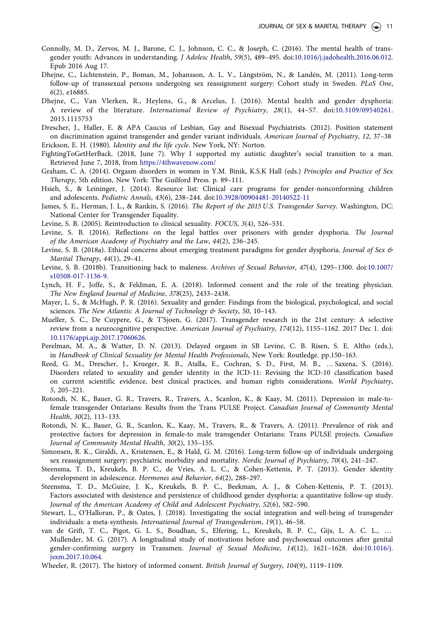- <span id="page-11-0"></span>Connolly, M. D., Zervos, M. J., Barone, C. J., Johnson, C. C., & Joseph, C. [\(2016](#page-9-0)). The mental health of transgender youth: Advances in understanding. J Adolesc Health, 59(5), 489–495. doi:[10.1016/j.jadohealth.2016.06.012](https://doi.org/10.1016/j.jadohealth.2016.06.012). Epub 2016 Aug 17.
- Dhejne, C., Lichtenstein, P., Boman, M., Johansson, A. L. V., Långström, N., & Landén, M. [\(2011\)](#page-5-0). Long-term follow-up of transsexual persons undergoing sex reassignment surgery: Cohort study in Sweden. PLoS One, 6(2), e16885.
- Dhejne, C., Van Vlerken, R., Heylens, G., & Arcelus, J. ([2016\)](#page-5-0). Mental health and gender dysphoria: A review of the literature. International Review of Psychiatry, 28(1), 44–57. doi:[10.3109/09540261](https://doi.org/10.3109/09540261). 2015.1115753
- Drescher, J., Haller, E. & APA Caucus of Lesbian, Gay and Bisexual Psychiatrists. [\(2012\)](#page-2-0). Position statement on discrimination against transgender and gender variant individuals. American Journal of Psychiatry, 12, 37–38 Erickson, E. H. ([1980\)](#page-9-0). Identity and the life cycle. New York, NY: Norton.
- FightingToGetHerBack. (2018, June 7). Why I supported my autistic daughter's social transition to a man. Retrieved June 7, 2018, from <https://4thwavenow.com/>
- Graham, C. A. ([2014](#page-6-0)). Orgasm disorders in women in Y.M. Binik, K.S.K Hall (eds.) Principles and Practice of Sex Therapy, 5th edition, New York: The Guilford Press. p. 89–111.
- Hsieh, S., & Leininger, J. [\(2014](#page-2-0)). Resource list: Clinical care programs for gender-nonconforming children and adolescents. Pediatric Annals, 43(6), 238–244. doi[:10.3928/00904481-20140522-11](https://doi.org/10.3928/00904481-20140522-11)
- James, S. E., Herman, J. L., & Rankin, S. (2016). The Report of the 2015 U.S. Transgender Survey. Washington, DC: National Center for Transgender Equality.
- Levine, S. B. ([2005](#page-2-0)). Reintroduction to clinical sexuality. FOCUS, 3(4), 526–531.
- Levine, S. B. [\(2016](#page-2-0)). Reflections on the legal battles over prisoners with gender dysphoria. The Journal of the American Academy of Psychiatry and the Law, 44(2), 236–245.
- Levine, S. B. (2018a). Ethical concerns about emerging treatment paradigms for gender dysphoria. Journal of Sex & Marital Therapy, 44(1), 29–41.
- Levine, S. B. [\(2018b\)](#page-9-0). Transitioning back to maleness. Archives of Sexual Behavior, 47(4), 1295–1300. doi[:10.1007/](https://doi.org/10.1007/s10508-017-1136-9) [s10508-017-1136-9](https://doi.org/10.1007/s10508-017-1136-9).
- Lynch, H. F., Joffe, S., & Feldman, E. A. [\(2018\)](#page-1-0). Informed consent and the role of the treating physician. The New England Journal of Medicine, 378(25), 2433–2438.
- Mayer, L. S., & McHugh, P. R. ([2016\)](#page-2-0). Sexuality and gender: Findings from the biological, psychological, and social sciences. The New Atlantis: A Journal of Technology & Society, 50, 10-143.
- Mueller, S. C., De Cuypere, G., & T'Sjoen, G. [\(2017\)](#page-2-0). Transgender research in the 21st century: A selective review from a neurocognitive perspective. American Journal of Psychiatry, 174(12), 1155-1162. 2017 Dec 1. doi: [10.1176/appi.ajp.2017.17060626](https://doi.org/10.1176/appi.ajp.2017.17060626).
- Perelman, M. A., & Watter, D. N. ([2013\)](#page-6-0). Delayed orgasm in SB Levine, C. B. Risen, S. E. Altho (eds.), in Handbook of Clinical Sexuality for Mental Health Professionals, New York: Routledge. pp.150–163.
- Reed, G. M., Drescher, J., Krueger, R. B., Atalla, E., Cochran, S. D., First, M. B., … Saxena, S. [\(2016](#page-2-0)). Disorders related to sexuality and gender identity in the ICD-11: Revising the ICD-10 classification based on current scientific evidence, best clinical practices, and human rights considerations. World Psychiatry, 5, 205–221.
- Rotondi, N. K., Bauer, G. R., Travers, R., Travers, A., Scanlon, K., & Kaay, M. [\(2011\)](#page-7-0). Depression in male-tofemale transgender Ontarians: Results from the Trans PULSE Project. Canadian Journal of Community Mental Health, 30(2), 113–133.
- Rotondi, N. K., Bauer, G. R., Scanlon, K., Kaay, M., Travers, R., & Travers, A. ([2011\)](#page-7-0). Prevalence of risk and protective factors for depression in female-to male transgender Ontarians: Trans PULSE projects. Canadian Journal of Community Mental Health, 30(2), 135–155.
- Simonsen, R. K., Giraldi, A., Kristensen, E., & Hald, G. M. [\(2016\)](#page-5-0). Long-term follow-up of individuals undergoing sex reassignment surgery: psychiatric morbidity and mortality. Nordic Journal of Psychiatry, 70(4), 241–247.
- Steensma, T. D., Kreukels, B. P. C., de Vries, A. L. C., & Cohen-Kettenis, P. T. ([2013\)](#page-7-0). Gender identity development in adolescence. Hormones and Behavior, 64(2), 288–297.
- Steensma, T. D., McGuire, J. K., Kreukels, B. P. C., Beekman, A. J., & Cohen-Kettenis, P. T. [\(2013](#page-7-0)). Factors associated with desistence and persistence of childhood gender dysphoria: a quantitative follow-up study. Journal of the American Academy of Child and Adolescent Psychiatry, 52(6), 582–590.
- Stewart, L., O'Halloran, P., & Oates, J. (2018). Investigating the social integration and well-being of transgender individuals: a meta-synthesis. International Journal of Transgenderism, 19(1), 46–58.
- van de Grift, T. C., Pigot, G. L. S., Boudhan, S., Elfering, L., Kreukels, B. P. C., Gijs, L. A. C. L., … Mullender, M. G. [\(2017](#page-5-0)). A longitudinal study of motivations before and psychosexual outcomes after genital gender-confirming surgery in Transmen. Journal of Sexual Medicine, 14(12), 1621–1628. doi:[10.1016/j.](https://doi.org/10.1016/j.jsxm.2017.10.064) [jsxm.2017.10.064.](https://doi.org/10.1016/j.jsxm.2017.10.064)
- Wheeler, R. (2017). The history of informed consent. British Journal of Surgery, 104(9), 1119–1109.